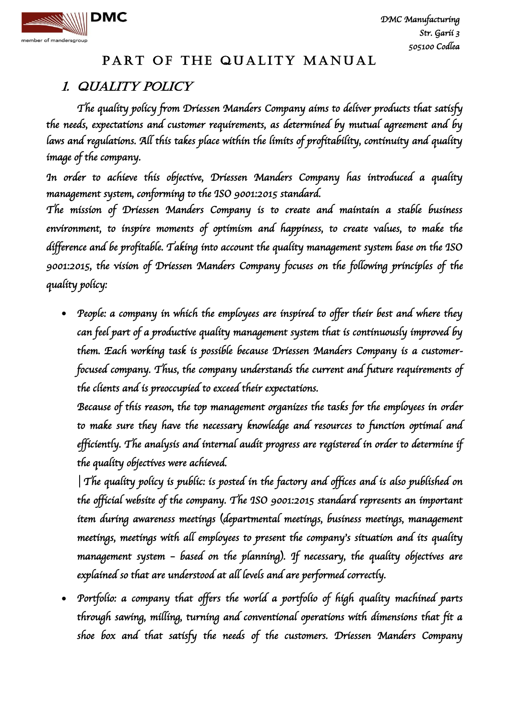

# 1. QUALITY POLICY

*The quality policy from Driessen Manders Company aims to deliver products that satisfy the needs, expectations and customer requirements, as determined by mutual agreement and by laws and regulations. All this takes place within the limits of profitability, continuity and quality image of the company.* 

*In order to achieve this objective, Driessen Manders Company has introduced a quality management system, conforming to the ISO 9001:2015 standard.* 

*The mission of Driessen Manders Company is to create and maintain a stable business environment, to inspire moments of optimism and happiness, to create values, to make the difference and be profitable. Taking into account the quality management system base on the ISO 9001:2015, the vision of Driessen Manders Company focuses on the following principles of the quality policy:* 

• People: a company in which the employees are inspired to offer their best and where they *can feel part of a productive quality management system that is continuously improved by them. Each working task is possible because Driessen Manders Company is a customerfocused company. Thus, the company understands the current and future requirements of the clients and is preoccupied to exceed their expectations.* 

Because of this reason, the top management organizes the tasks for the employees in order *to make sure they have the necessary knowledge and resources to function optimal and efficiently. The analysis and internal audit progress are registered in order to determine if the quality objectives were achieved.* 

**│***The quality policy is public: is posted in the factory and offices and is also published on the official website of the company. The ISO 9001:2015 standard represents an important item during awareness meetings (departmental meetings, business meetings, management meetings, meetings with all employees to present the company's situation and its quality management system – based on the planning). If necessary, the quality objectives are explained so that are understood at all levels and are performed correctly.* 

 *Portfolio: a company that offers the world a portfolio of high quality machined parts through sawing, milling, turning and conventional operations with dimensions that fit a shoe box and that satisfy the needs of the customers. Driessen Manders Company*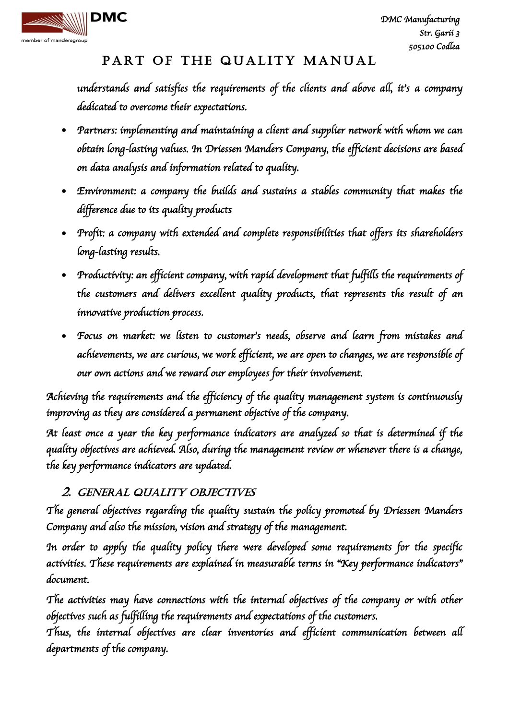

*understands and satisfies the requirements of the clients and above all, it's a company dedicated to overcome their expectations.* 

- *Partners: implementing and maintaining a client and supplier network with whom we can obtain long-lasting values. In Driessen Manders Company, the efficient decisions are based on data analysis and information related to quality.*
- *Environment: a company the builds and sustains a stables community that makes the difference due to its quality products*
- *Profit: a company with extended and complete responsibilities that offers its shareholders long-lasting results.*
- *Productivity: an efficient company, with rapid development that fulfills the requirements of the customers and delivers excellent quality products, that represents the result of an innovative production process.*
- *Focus on market: we listen to customer's needs, observe and learn from mistakes and achievements, we are curious, we work efficient, we are open to changes, we are responsible of our own actions and we reward our employees for their involvement.*

*Achieving the requirements and the efficiency of the quality management system is continuously improving as they are considered a permanent objective of the company.* 

*At least once a year the key performance indicators are analyzed so that is determined if the quality objectives are achieved. Also, during the management review or whenever there is a change, the key performance indicators are updated.*

#### 2. GENERAL QUALITY OBJECTIVES

*The general objectives regarding the quality sustain the policy promoted by Driessen Manders Company and also the mission, vision and strategy of the management.* 

*In order to apply the quality policy there were developed some requirements for the specific activities. These requirements are explained in measurable terms in "Key performance indicators" document.* 

*The activities may have connections with the internal objectives of the company or with other objectives such as fulfilling the requirements and expectations of the customers.* 

*Thus, the internal objectives are clear inventories and efficient communication between all departments of the company.*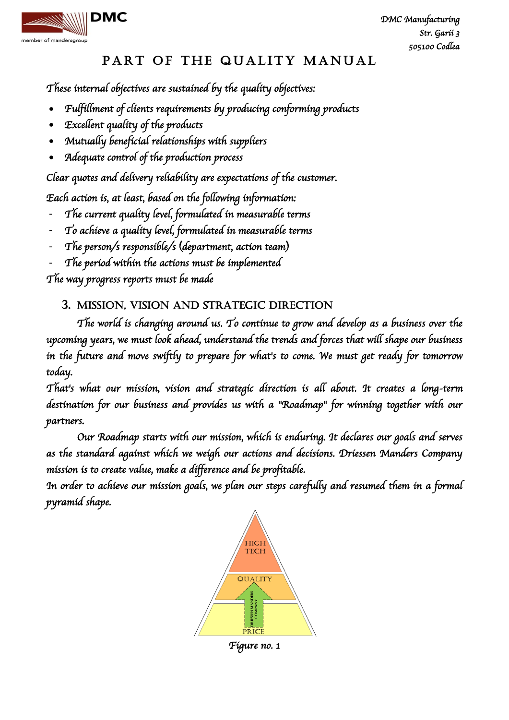

*These internal objectives are sustained by the quality objectives:* 

- *Fulfillment of clients requirements by producing conforming products*
- *Excellent quality of the products*
- *Mutually beneficial relationships with suppliers*
- *Adequate control of the production process*

*Clear quotes and delivery reliability are expectations of the customer.* 

*Each action is, at least, based on the following information:* 

- *The current quality level, formulated in measurable terms*
- *To achieve a quality level, formulated in measurable terms*
- *The person/s responsible/s (department, action team)*
- *The period within the actions must be implemented*

*The way progress reports must be made* 

#### 3. MISSION, VISION AND STRATEGIC DIRECTION

*The world is changing around us. To continue to grow and develop as a business over the upcoming years, we must look ahead, understand the trends and forces that will shape our business in the future and move swiftly to prepare for what's to come. We must get ready for tomorrow today.* 

*That's what our mission, vision and strategic direction is all about. It creates a long-term destination for our business and provides us with a "Roadmap" for winning together with our partners.* 

*Our Roadmap starts with our mission, which is enduring. It declares our goals and serves as the standard against which we weigh our actions and decisions. Driessen Manders Company mission is to create value, make a difference and be profitable.* 

*In order to achieve our mission goals, we plan our steps carefully and resumed them in a formal pyramid shape.*



*Figure no. 1*